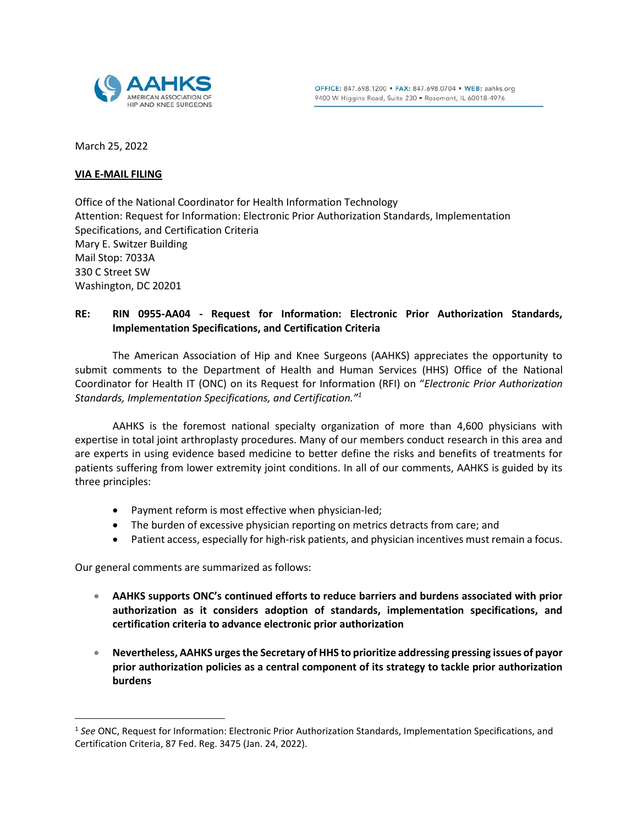

March 25, 2022

### **VIA E-MAIL FILING**

Office of the National Coordinator for Health Information Technology Attention: Request for Information: Electronic Prior Authorization Standards, Implementation Specifications, and Certification Criteria Mary E. Switzer Building Mail Stop: 7033A 330 C Street SW Washington, DC 20201

# **RE: RIN 0955-AA04 - Request for Information: Electronic Prior Authorization Standards, Implementation Specifications, and Certification Criteria**

The American Association of Hip and Knee Surgeons (AAHKS) appreciates the opportunity to submit comments to the Department of Health and Human Services (HHS) Office of the National Coordinator for Health IT (ONC) on its Request for Information (RFI) on "*Electronic Prior Authorization Standards, Implementation Specifications, and Certification."<sup>1</sup>*

AAHKS is the foremost national specialty organization of more than 4,600 physicians with expertise in total joint arthroplasty procedures. Many of our members conduct research in this area and are experts in using evidence based medicine to better define the risks and benefits of treatments for patients suffering from lower extremity joint conditions. In all of our comments, AAHKS is guided by its three principles:

- Payment reform is most effective when physician-led;
- The burden of excessive physician reporting on metrics detracts from care; and
- Patient access, especially for high-risk patients, and physician incentives must remain a focus.

Our general comments are summarized as follows:

 $\overline{a}$ 

- **AAHKS supports ONC's continued efforts to reduce barriers and burdens associated with prior authorization as it considers adoption of standards, implementation specifications, and certification criteria to advance electronic prior authorization**
- **Nevertheless, AAHKS urges the Secretary of HHS to prioritize addressing pressing issues of payor prior authorization policies as a central component of its strategy to tackle prior authorization burdens**

<sup>1</sup> *See* ONC, Request for Information: Electronic Prior Authorization Standards, Implementation Specifications, and Certification Criteria, 87 Fed. Reg. 3475 (Jan. 24, 2022).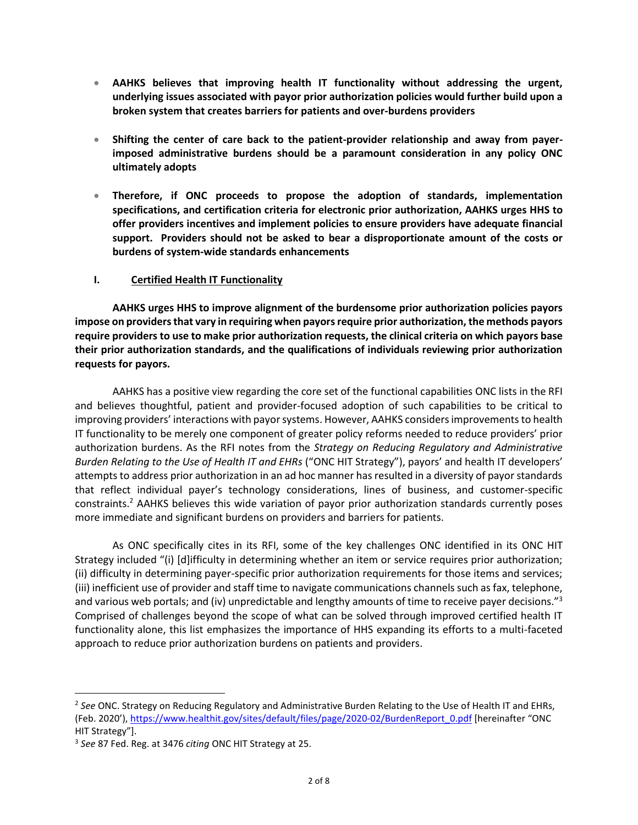- **AAHKS believes that improving health IT functionality without addressing the urgent, underlying issues associated with payor prior authorization policies would further build upon a broken system that creates barriers for patients and over-burdens providers**
- **Shifting the center of care back to the patient-provider relationship and away from payerimposed administrative burdens should be a paramount consideration in any policy ONC ultimately adopts**
- **Therefore, if ONC proceeds to propose the adoption of standards, implementation specifications, and certification criteria for electronic prior authorization, AAHKS urges HHS to offer providers incentives and implement policies to ensure providers have adequate financial support. Providers should not be asked to bear a disproportionate amount of the costs or burdens of system-wide standards enhancements**

## **I. Certified Health IT Functionality**

**AAHKS urges HHS to improve alignment of the burdensome prior authorization policies payors impose on providersthat vary in requiring when payors require prior authorization, the methods payors require providers to use to make prior authorization requests, the clinical criteria on which payors base their prior authorization standards, and the qualifications of individuals reviewing prior authorization requests for payors.** 

AAHKS has a positive view regarding the core set of the functional capabilities ONC lists in the RFI and believes thoughtful, patient and provider-focused adoption of such capabilities to be critical to improving providers' interactions with payor systems. However, AAHKS considers improvements to health IT functionality to be merely one component of greater policy reforms needed to reduce providers' prior authorization burdens. As the RFI notes from the *Strategy on Reducing Regulatory and Administrative Burden Relating to the Use of Health IT and EHRs* ("ONC HIT Strategy"), payors' and health IT developers' attempts to address prior authorization in an ad hoc manner has resulted in a diversity of payor standards that reflect individual payer's technology considerations, lines of business, and customer-specific constraints. <sup>2</sup> AAHKS believes this wide variation of payor prior authorization standards currently poses more immediate and significant burdens on providers and barriers for patients.

As ONC specifically cites in its RFI, some of the key challenges ONC identified in its ONC HIT Strategy included "(i) [d]ifficulty in determining whether an item or service requires prior authorization; (ii) difficulty in determining payer-specific prior authorization requirements for those items and services; (iii) inefficient use of provider and staff time to navigate communications channels such as fax, telephone, and various web portals; and (iv) unpredictable and lengthy amounts of time to receive payer decisions."<sup>3</sup> Comprised of challenges beyond the scope of what can be solved through improved certified health IT functionality alone, this list emphasizes the importance of HHS expanding its efforts to a multi-faceted approach to reduce prior authorization burdens on patients and providers.

 $\overline{a}$ 

<sup>2</sup> *See* ONC. Strategy on Reducing Regulatory and Administrative Burden Relating to the Use of Health IT and EHRs, (Feb. 2020'), [https://www.healthit.gov/sites/default/files/page/2020-02/BurdenReport\\_0.pdf](https://www.healthit.gov/​sites/​default/​files/​page/​2020-02/​BurdenReport_​0.pdf) [hereinafter "ONC HIT Strategy"].

<sup>3</sup> *See* 87 Fed. Reg. at 3476 *citing* ONC HIT Strategy at 25.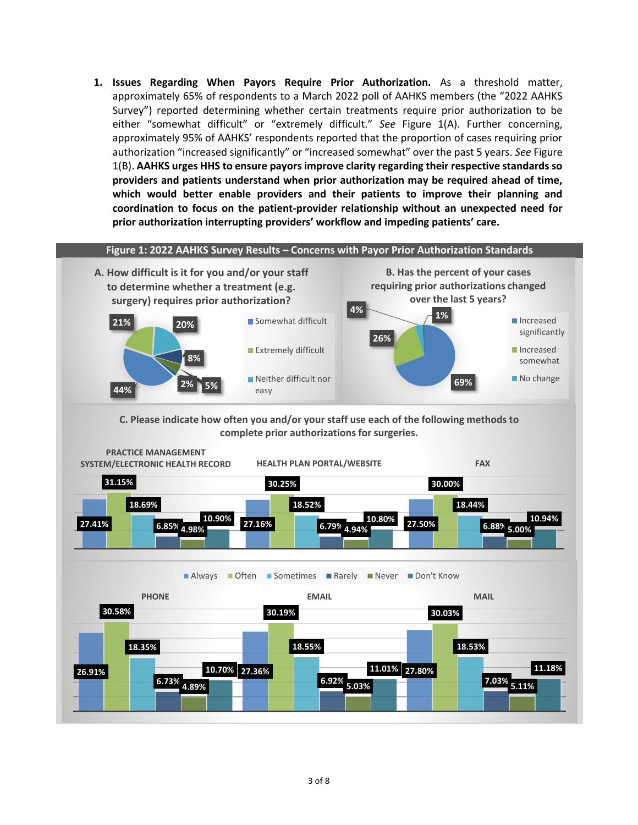**1. Issues Regarding When Payors Require Prior Authorization.** As a threshold matter, approximately 65% of respondents to a March 2022 poll of AAHKS members (the "2022 AAHKS Survey") reported determining whether certain treatments require prior authorization to be either "somewhat difficult" or "extremely difficult." *See* Figure 1(A). Further concerning, approximately 95% of AAHKS' respondents reported that the proportion of cases requiring prior authorization "increased significantly" or "increased somewhat" over the past 5 years. *See* Figure 1(B). **AAHKS urges HHS to ensure payors improve clarity regarding their respective standards so providers and patients understand when prior authorization may be required ahead of time, which would better enable providers and their patients to improve their planning and coordination to focus on the patient-provider relationship without an unexpected need for prior authorization interrupting providers' workflow and impeding patients' care.**

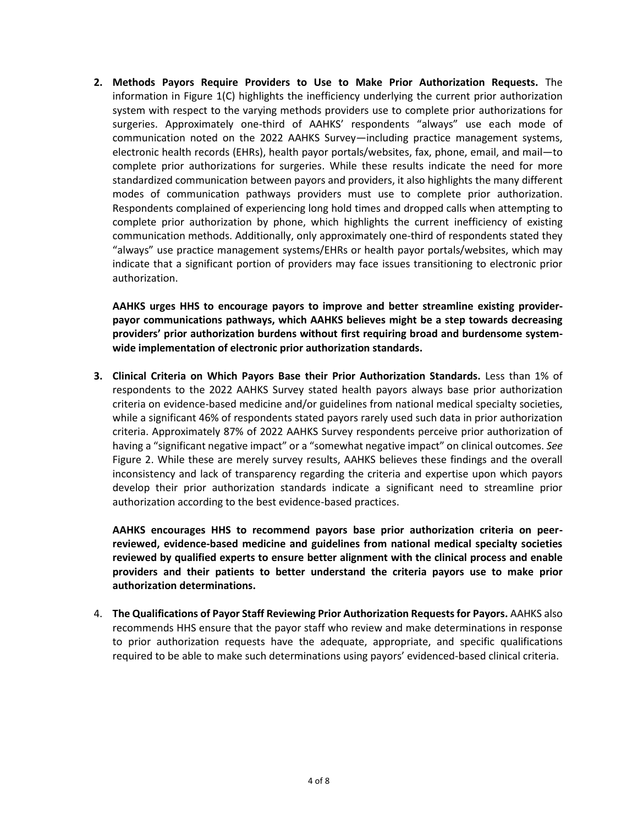**2. Methods Payors Require Providers to Use to Make Prior Authorization Requests.** The information in Figure 1(C) highlights the inefficiency underlying the current prior authorization system with respect to the varying methods providers use to complete prior authorizations for surgeries. Approximately one-third of AAHKS' respondents "always" use each mode of communication noted on the 2022 AAHKS Survey—including practice management systems, electronic health records (EHRs), health payor portals/websites, fax, phone, email, and mail—to complete prior authorizations for surgeries. While these results indicate the need for more standardized communication between payors and providers, it also highlights the many different modes of communication pathways providers must use to complete prior authorization. Respondents complained of experiencing long hold times and dropped calls when attempting to complete prior authorization by phone, which highlights the current inefficiency of existing communication methods. Additionally, only approximately one-third of respondents stated they "always" use practice management systems/EHRs or health payor portals/websites, which may indicate that a significant portion of providers may face issues transitioning to electronic prior authorization.

**AAHKS urges HHS to encourage payors to improve and better streamline existing providerpayor communications pathways, which AAHKS believes might be a step towards decreasing providers' prior authorization burdens without first requiring broad and burdensome systemwide implementation of electronic prior authorization standards.**

**3. Clinical Criteria on Which Payors Base their Prior Authorization Standards.** Less than 1% of respondents to the 2022 AAHKS Survey stated health payors always base prior authorization criteria on evidence-based medicine and/or guidelines from national medical specialty societies, while a significant 46% of respondents stated payors rarely used such data in prior authorization criteria. Approximately 87% of 2022 AAHKS Survey respondents perceive prior authorization of having a "significant negative impact" or a "somewhat negative impact" on clinical outcomes. *See*  Figure 2. While these are merely survey results, AAHKS believes these findings and the overall inconsistency and lack of transparency regarding the criteria and expertise upon which payors develop their prior authorization standards indicate a significant need to streamline prior authorization according to the best evidence-based practices.

**AAHKS encourages HHS to recommend payors base prior authorization criteria on peerreviewed, evidence-based medicine and guidelines from national medical specialty societies reviewed by qualified experts to ensure better alignment with the clinical process and enable providers and their patients to better understand the criteria payors use to make prior authorization determinations.**

4. **The Qualifications of Payor Staff Reviewing Prior Authorization Requests for Payors.** AAHKS also recommends HHS ensure that the payor staff who review and make determinations in response to prior authorization requests have the adequate, appropriate, and specific qualifications required to be able to make such determinations using payors' evidenced-based clinical criteria.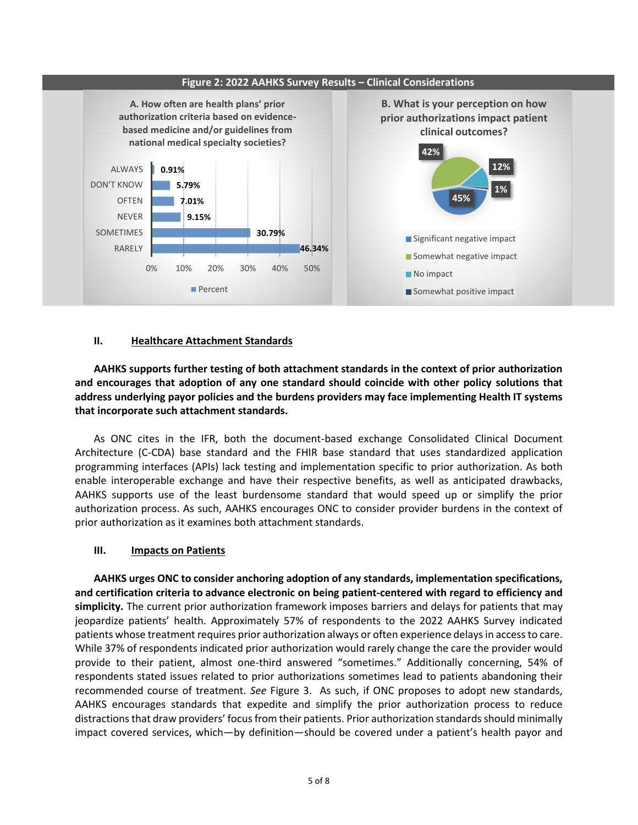

## **II. Healthcare Attachment Standards**

**AAHKS supports further testing of both attachment standards in the context of prior authorization and encourages that adoption of any one standard should coincide with other policy solutions that address underlying payor policies and the burdens providers may face implementing Health IT systems that incorporate such attachment standards.**

As ONC cites in the IFR, both the document-based exchange Consolidated Clinical Document Architecture (C-CDA) base standard and the FHIR base standard that uses standardized application programming interfaces (APIs) lack testing and implementation specific to prior authorization. As both enable interoperable exchange and have their respective benefits, as well as anticipated drawbacks, AAHKS supports use of the least burdensome standard that would speed up or simplify the prior authorization process. As such, AAHKS encourages ONC to consider provider burdens in the context of prior authorization as it examines both attachment standards.

## **III. Impacts on Patients**

**AAHKS urges ONC to consider anchoring adoption of any standards, implementation specifications, and certification criteria to advance electronic on being patient-centered with regard to efficiency and simplicity.** The current prior authorization framework imposes barriers and delays for patients that may jeopardize patients' health. Approximately 57% of respondents to the 2022 AAHKS Survey indicated patients whose treatment requires prior authorization always or often experience delays in access to care. While 37% of respondents indicated prior authorization would rarely change the care the provider would provide to their patient, almost one-third answered "sometimes." Additionally concerning, 54% of respondents stated issues related to prior authorizations sometimes lead to patients abandoning their recommended course of treatment. *See* Figure 3. As such, if ONC proposes to adopt new standards, AAHKS encourages standards that expedite and simplify the prior authorization process to reduce distractions that draw providers' focus from their patients. Prior authorization standards should minimally impact covered services, which—by definition—should be covered under a patient's health payor and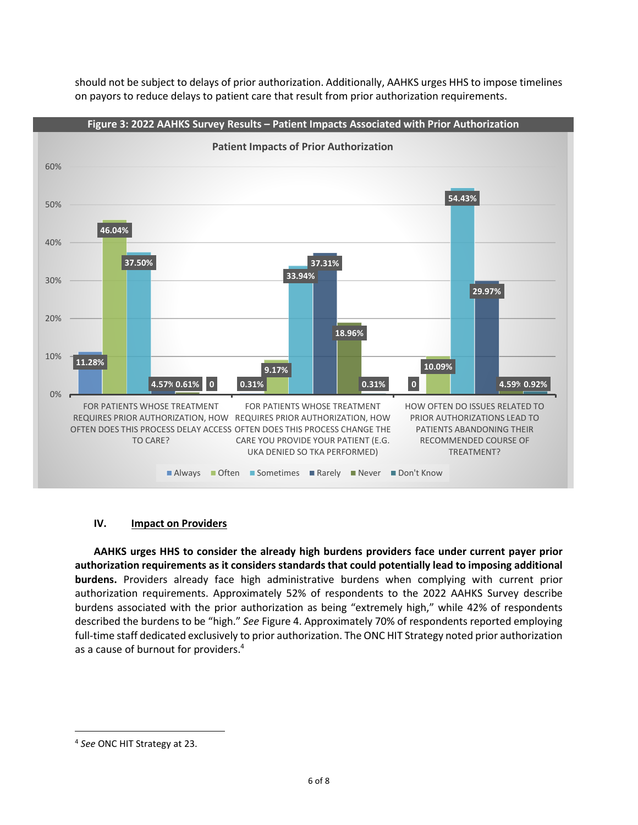should not be subject to delays of prior authorization. Additionally, AAHKS urges HHS to impose timelines on payors to reduce delays to patient care that result from prior authorization requirements.



## **IV. Impact on Providers**

**AAHKS urges HHS to consider the already high burdens providers face under current payer prior authorization requirements as it considers standards that could potentially lead to imposing additional burdens.** Providers already face high administrative burdens when complying with current prior authorization requirements. Approximately 52% of respondents to the 2022 AAHKS Survey describe burdens associated with the prior authorization as being "extremely high," while 42% of respondents described the burdens to be "high." *See* Figure 4. Approximately 70% of respondents reported employing full-time staff dedicated exclusively to prior authorization. The ONC HIT Strategy noted prior authorization as a cause of burnout for providers. 4

 $\overline{a}$ 

<sup>4</sup> *See* ONC HIT Strategy at 23.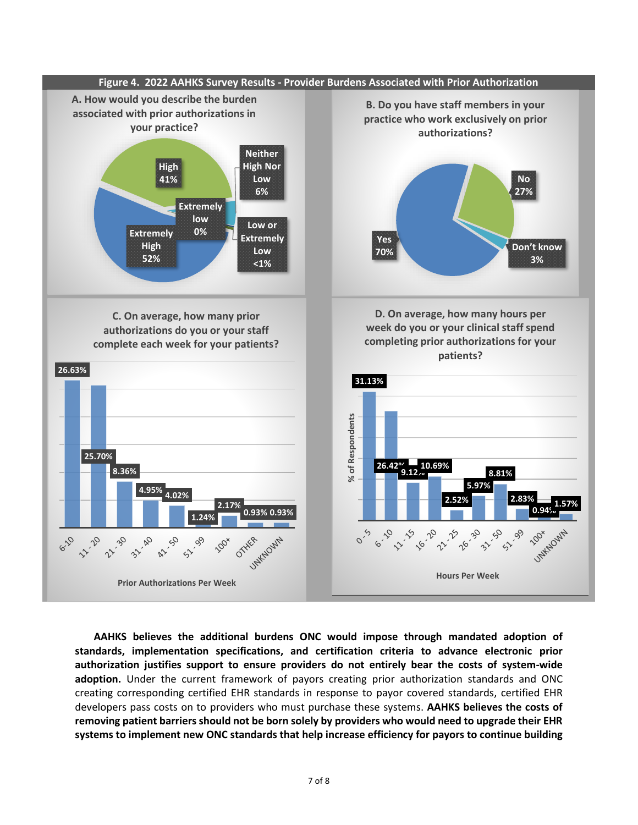

**AAHKS believes the additional burdens ONC would impose through mandated adoption of standards, implementation specifications, and certification criteria to advance electronic prior authorization justifies support to ensure providers do not entirely bear the costs of system-wide adoption.** Under the current framework of payors creating prior authorization standards and ONC creating corresponding certified EHR standards in response to payor covered standards, certified EHR developers pass costs on to providers who must purchase these systems. **AAHKS believes the costs of removing patient barriers should not be born solely by providers who would need to upgrade their EHR systems to implement new ONC standards that help increase efficiency for payors to continue building**